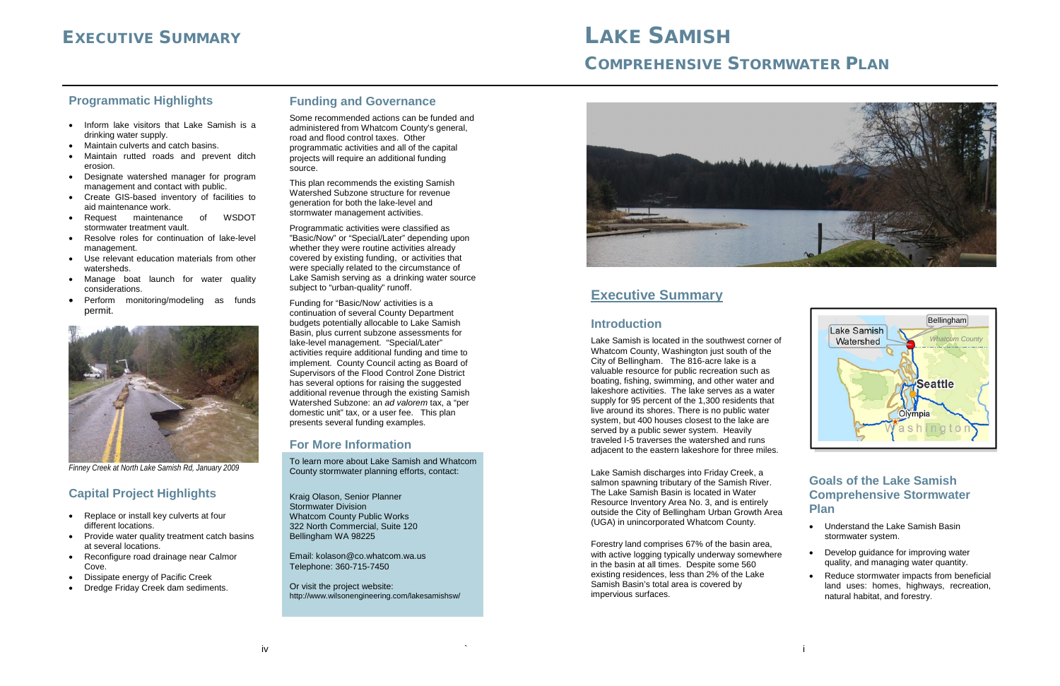# EXECUTIVE SUMMARY **LAKE SAMISH**

## COMPREHENSIVE STORMWATER PLAN

#### **Funding and Governance**

Some recommended actions can be funded and administered from Whatcom County's general, road and flood control taxes. Other programmatic activities and all of the capital projects will require an additional funding source.

This plan recommends the existing Samish Watershed Subzone structure for revenue generation for both the lake-level and stormwater management activities.

Programmatic activities were classified as "Basic/Now" or "Special/Later" depending upon whether they were routine activities already covered by existing funding, or activities that were specially related to the circumstance of Lake Samish serving as a drinking water source subject to "urban-quality" runoff.

Funding for "Basic/Now' activities is a continuation of several County Department budgets potentially allocable to Lake Samish Basin, plus current subzone assessments for lake-level management. "Special/Later" activities require additional funding and time to implement. County Council acting as Board of Supervisors of the Flood Control Zone District has several options for raising the suggested additional revenue through the existing Samish Watershed Subzone: an *ad valorem* tax, a "per domestic unit" tax, or a user fee. This plan presents several funding examples.

#### **For More Information**

To learn more about Lake Samish and Whatcom County stormwater planning efforts, contact:

Kraig Olason, Senior Planner Stormwater Division Whatcom County Public Works 322 North Commercial, Suite 120 Bellingham WA 98225

Email: kolason@co.whatcom.wa.us Telephone: 360-715-7450

Or visit the project website: http://www.wilsonengineering.com/lakesamishsw/



#### **Programmatic Highlights**

- Inform lake visitors that Lake Samish is a drinking water supply.
- Maintain culverts and catch basins.
- Maintain rutted roads and prevent ditch erosion.
- Designate watershed manager for program management and contact with public.
- Create GIS-based inventory of facilities to aid maintenance work.
- Request maintenance of WSDOT stormwater treatment vault.
- Resolve roles for continuation of lake-level management.
- Use relevant education materials from other watersheds.
- Manage boat launch for water quality considerations.
- Perform monitoring/modeling as funds permit.



*Finney Creek at North Lake Samish Rd, January 2009*

#### **Capital Project Highlights**

- Replace or install key culverts at four different locations.
- Provide water quality treatment catch basins at several locations.
- Reconfigure road drainage near Calmor Cove.
- Dissipate energy of Pacific Creek
- Dredge Friday Creek dam sediments.

### **Executive Summary**

#### **Introduction**

Lake Samish is located in the southwest corner of Whatcom County, Washington just south of the City of Bellingham. The 816-acre lake is a valuable resource for public recreation such as boating, fishing, swimming, and other water and lakeshore activities. The lake serves as a water supply for 95 percent of the 1,300 residents that live around its shores. There is no public water system, but 400 houses closest to the lake are served by a public sewer system. Heavily traveled I-5 traverses the watershed and runs adjacent to the eastern lakeshore for three miles.

Lake Samish discharges into Friday Creek, a salmon spawning tributary of the Samish River. The Lake Samish Basin is located in Water Resource Inventory Area No. 3, and is entirely outside the City of Bellingham Urban Growth Area (UGA) in unincorporated Whatcom County.

Forestry land comprises 67% of the basin area, with active logging typically underway somewhere in the basin at all times. Despite some 560 existing residences, less than 2% of the Lake Samish Basin's total area is covered by impervious surfaces.

#### **Goals of the Lake Samish Comprehensive Stormwater Plan**

- Understand the Lake Samish Basin stormwater system.
- Develop guidance for improving water quality, and managing water quantity.
- Reduce stormwater impacts from beneficial land uses: homes, highways, recreation, natural habitat, and forestry.